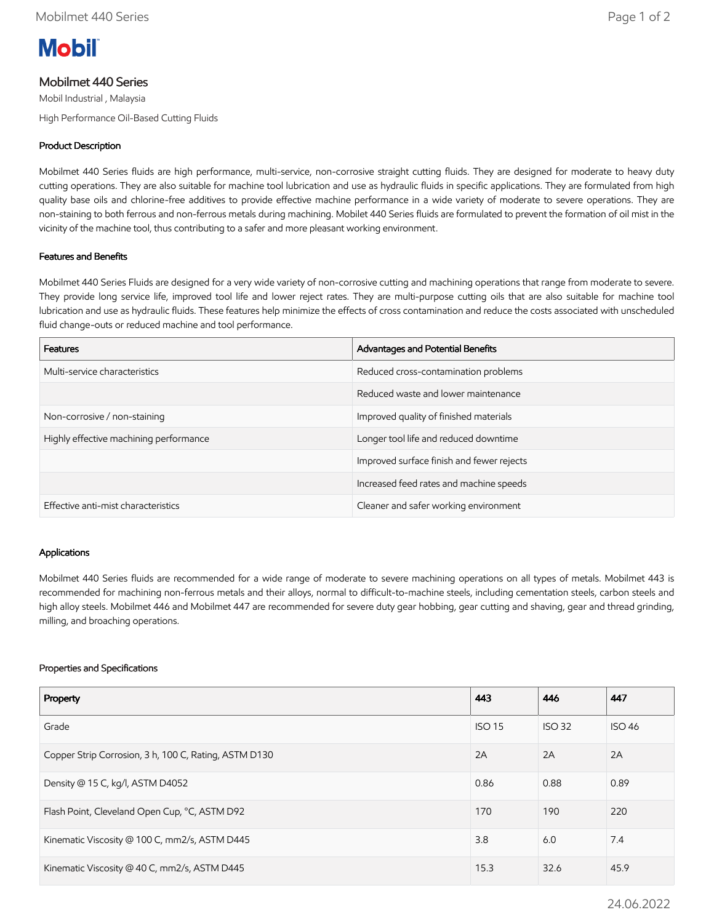

# Mobilmet 440 Series

Mobil Industrial , Malaysia High Performance Oil-Based Cutting Fluids

## Product Description

Mobilmet 440 Series fluids are high performance, multi-service, non-corrosive straight cutting fluids. They are designed for moderate to heavy duty cutting operations. They are also suitable for machine tool lubrication and use as hydraulic fluids in specific applications. They are formulated from high quality base oils and chlorine-free additives to provide effective machine performance in a wide variety of moderate to severe operations. They are non-staining to both ferrous and non-ferrous metals during machining. Mobilet 440 Series fluids are formulated to prevent the formation of oil mist in the vicinity of the machine tool, thus contributing to a safer and more pleasant working environment.

## Features and Benefits

Mobilmet 440 Series Fluids are designed for a very wide variety of non-corrosive cutting and machining operations that range from moderate to severe. They provide long service life, improved tool life and lower reject rates. They are multi-purpose cutting oils that are also suitable for machine tool lubrication and use as hydraulic fluids. These features help minimize the effects of cross contamination and reduce the costs associated with unscheduled fluid change-outs or reduced machine and tool performance.

| <b>Features</b>                        | Advantages and Potential Benefits         |
|----------------------------------------|-------------------------------------------|
| Multi-service characteristics          | Reduced cross-contamination problems      |
|                                        | Reduced waste and lower maintenance       |
| Non-corrosive / non-staining           | Improved quality of finished materials    |
| Highly effective machining performance | Longer tool life and reduced downtime     |
|                                        | Improved surface finish and fewer rejects |
|                                        | Increased feed rates and machine speeds   |
| Effective anti-mist characteristics    | Cleaner and safer working environment     |

#### Applications

Mobilmet 440 Series fluids are recommended for a wide range of moderate to severe machining operations on all types of metals. Mobilmet 443 is recommended for machining non-ferrous metals and their alloys, normal to difficult-to-machine steels, including cementation steels, carbon steels and high alloy steels. Mobilmet 446 and Mobilmet 447 are recommended for severe duty gear hobbing, gear cutting and shaving, gear and thread grinding, milling, and broaching operations.

#### Properties and Specifications

| Property                                              | 443           | 446           | 447           |
|-------------------------------------------------------|---------------|---------------|---------------|
| Grade                                                 | <b>ISO 15</b> | <b>ISO 32</b> | <b>ISO 46</b> |
| Copper Strip Corrosion, 3 h, 100 C, Rating, ASTM D130 | 2A            | 2A            | 2A            |
| Density @ 15 C, kg/l, ASTM D4052                      | 0.86          | 0.88          | 0.89          |
| Flash Point, Cleveland Open Cup, °C, ASTM D92         | 170           | 190           | 220           |
| Kinematic Viscosity @ 100 C, mm2/s, ASTM D445         | 3.8           | 6.0           | 7.4           |
| Kinematic Viscosity @ 40 C, mm2/s, ASTM D445          |               | 32.6          | 45.9          |